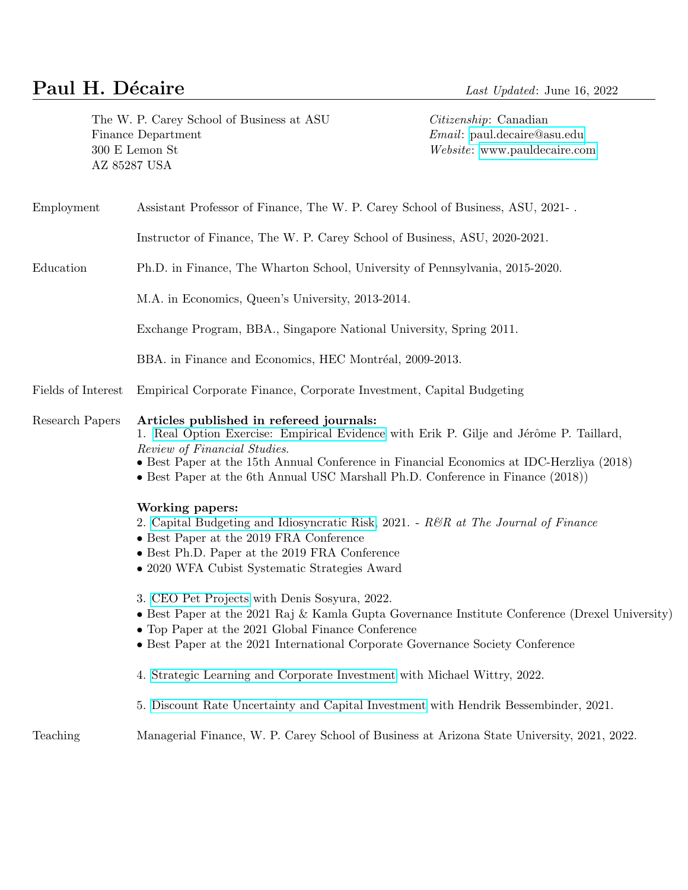# **Paul H. Décaire** Last Updated: June 16, 2022

The W. P. Carey School of Business at ASU Citizenship: Canadian Finance Department **Email:**  $Email: \text{ paul.decaire@asu.edu}$  $Email: \text{ paul.decaire@asu.edu}$  $Email: \text{ paul.decaire@asu.edu}$ 300 E Lemon St Website:<www.pauldecaire.com> AZ 85287 USA

Employment Assistant Professor of Finance, The W. P. Carey School of Business, ASU, 2021- .

Instructor of Finance, The W. P. Carey School of Business, ASU, 2020-2021.

Education Ph.D. in Finance, The Wharton School, University of Pennsylvania, 2015-2020.

M.A. in Economics, Queen's University, 2013-2014.

Exchange Program, BBA., Singapore National University, Spring 2011.

BBA. in Finance and Economics, HEC Montréal, 2009-2013.

Fields of Interest Empirical Corporate Finance, Corporate Investment, Capital Budgeting

#### Research Papers Articles published in refereed journals:

1. [Real Option Exercise: Empirical Evidence](https://academic.oup.com/rfs/advance-article/doi/10.1093/rfs/hhz092/5555880) with Erik P. Gilje and Jérôme P. Taillard, Review of Financial Studies.

- Best Paper at the 15th Annual Conference in Financial Economics at IDC-Herzliya (2018)
- Best Paper at the 6th Annual USC Marshall Ph.D. Conference in Finance (2018))

#### Working papers:

- 2. [Capital Budgeting and Idiosyncratic Risk,](https://papers.ssrn.com/sol3/papers.cfm?abstract_id=3480884) 2021.  $R\mathcal{B}R$  at The Journal of Finance
- Best Paper at the 2019 FRA Conference
- Best Ph.D. Paper at the 2019 FRA Conference
- 2020 WFA Cubist Systematic Strategies Award

3. [CEO Pet Projects](https://papers.ssrn.com/sol3/papers.cfm?abstract_id=3747263) with Denis Sosyura, 2022.

- Best Paper at the 2021 Raj & Kamla Gupta Governance Institute Conference (Drexel University)
- Top Paper at the 2021 Global Finance Conference
- Best Paper at the 2021 International Corporate Governance Society Conference
- 4. [Strategic Learning and Corporate Investment](https://papers.ssrn.com/sol3/papers.cfm?abstract_id=3923811) with Michael Wittry, 2022.
- 5. [Discount Rate Uncertainty and Capital Investment](https://papers.ssrn.com/sol3/papers.cfm?abstract_id=3723936) with Hendrik Bessembinder, 2021.

Teaching Managerial Finance, W. P. Carey School of Business at Arizona State University, 2021, 2022.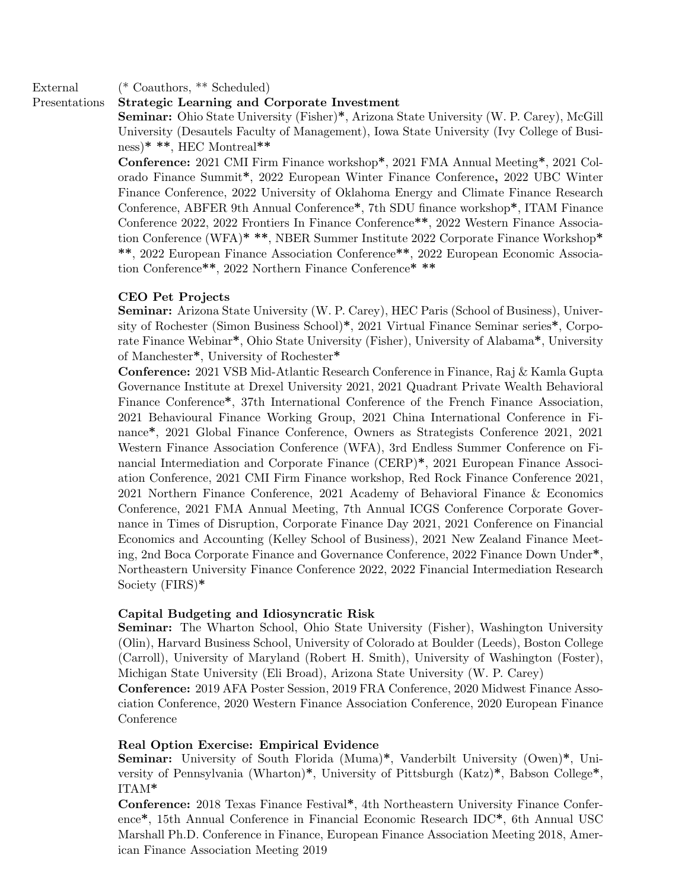## External (\* Coauthors, \*\* Scheduled)

### Presentations Strategic Learning and Corporate Investment

Seminar: Ohio State University (Fisher)\*, Arizona State University (W. P. Carey), McGill University (Desautels Faculty of Management), Iowa State University (Ivy College of Business)\* \*\*, HEC Montreal\*\*

Conference: 2021 CMI Firm Finance workshop\*, 2021 FMA Annual Meeting\*, 2021 Colorado Finance Summit\*, 2022 European Winter Finance Conference, 2022 UBC Winter Finance Conference, 2022 University of Oklahoma Energy and Climate Finance Research Conference, ABFER 9th Annual Conference\*, 7th SDU finance workshop\*, ITAM Finance Conference 2022, 2022 Frontiers In Finance Conference\*\*, 2022 Western Finance Association Conference (WFA)\* \*\*, NBER Summer Institute 2022 Corporate Finance Workshop\* \*\*, 2022 European Finance Association Conference\*\*, 2022 European Economic Association Conference\*\*, 2022 Northern Finance Conference\* \*\*

#### CEO Pet Projects

Seminar: Arizona State University (W. P. Carey), HEC Paris (School of Business), University of Rochester (Simon Business School)\*, 2021 Virtual Finance Seminar series\*, Corporate Finance Webinar\*, Ohio State University (Fisher), University of Alabama\*, University of Manchester\*, University of Rochester\*

Conference: 2021 VSB Mid-Atlantic Research Conference in Finance, Raj & Kamla Gupta Governance Institute at Drexel University 2021, 2021 Quadrant Private Wealth Behavioral Finance Conference\*, 37th International Conference of the French Finance Association, 2021 Behavioural Finance Working Group, 2021 China International Conference in Finance\*, 2021 Global Finance Conference, Owners as Strategists Conference 2021, 2021 Western Finance Association Conference (WFA), 3rd Endless Summer Conference on Financial Intermediation and Corporate Finance (CERP)\*, 2021 European Finance Association Conference, 2021 CMI Firm Finance workshop, Red Rock Finance Conference 2021, 2021 Northern Finance Conference, 2021 Academy of Behavioral Finance & Economics Conference, 2021 FMA Annual Meeting, 7th Annual ICGS Conference Corporate Governance in Times of Disruption, Corporate Finance Day 2021, 2021 Conference on Financial Economics and Accounting (Kelley School of Business), 2021 New Zealand Finance Meeting, 2nd Boca Corporate Finance and Governance Conference, 2022 Finance Down Under\*, Northeastern University Finance Conference 2022, 2022 Financial Intermediation Research Society (FIRS)\*

#### Capital Budgeting and Idiosyncratic Risk

Seminar: The Wharton School, Ohio State University (Fisher), Washington University (Olin), Harvard Business School, University of Colorado at Boulder (Leeds), Boston College (Carroll), University of Maryland (Robert H. Smith), University of Washington (Foster), Michigan State University (Eli Broad), Arizona State University (W. P. Carey)

Conference: 2019 AFA Poster Session, 2019 FRA Conference, 2020 Midwest Finance Association Conference, 2020 Western Finance Association Conference, 2020 European Finance Conference

#### Real Option Exercise: Empirical Evidence

Seminar: University of South Florida (Muma)\*, Vanderbilt University (Owen)\*, University of Pennsylvania (Wharton)\*, University of Pittsburgh (Katz)\*, Babson College\*, ITAM\*

Conference: 2018 Texas Finance Festival\*, 4th Northeastern University Finance Conference\*, 15th Annual Conference in Financial Economic Research IDC\*, 6th Annual USC Marshall Ph.D. Conference in Finance, European Finance Association Meeting 2018, American Finance Association Meeting 2019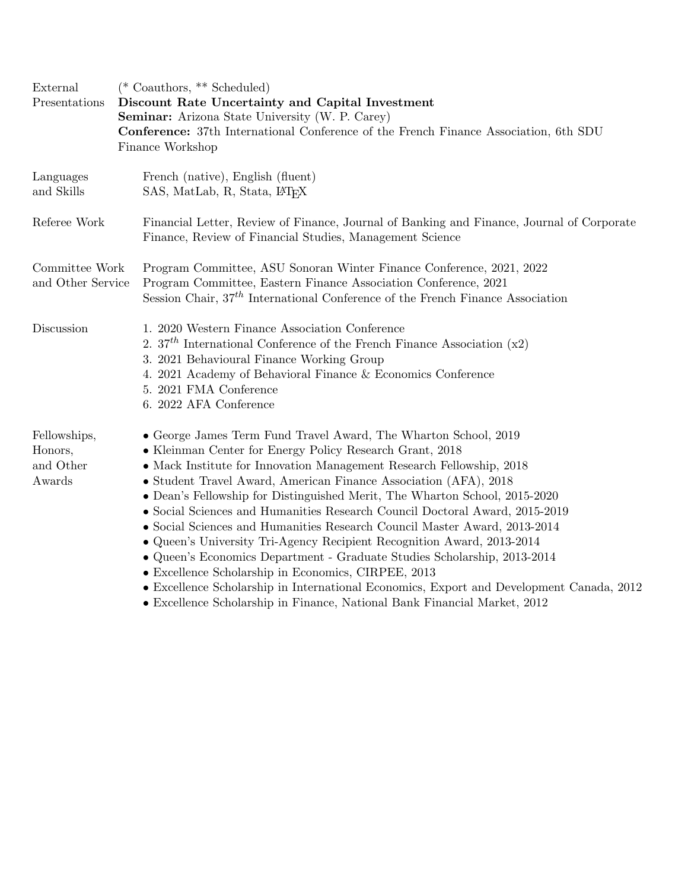| External<br>Presentations                      | (* Coauthors, ** Scheduled)<br>Discount Rate Uncertainty and Capital Investment<br><b>Seminar:</b> Arizona State University (W. P. Carey)<br><b>Conference:</b> 37th International Conference of the French Finance Association, 6th SDU<br>Finance Workshop                                                                                                                                                                                                                                                                                                                                                                                                                                                                                                                                                               |
|------------------------------------------------|----------------------------------------------------------------------------------------------------------------------------------------------------------------------------------------------------------------------------------------------------------------------------------------------------------------------------------------------------------------------------------------------------------------------------------------------------------------------------------------------------------------------------------------------------------------------------------------------------------------------------------------------------------------------------------------------------------------------------------------------------------------------------------------------------------------------------|
| Languages<br>and Skills                        | French (native), English (fluent)<br>SAS, MatLab, R, Stata, L <sup>T</sup> FX                                                                                                                                                                                                                                                                                                                                                                                                                                                                                                                                                                                                                                                                                                                                              |
| Referee Work                                   | Financial Letter, Review of Finance, Journal of Banking and Finance, Journal of Corporate<br>Finance, Review of Financial Studies, Management Science                                                                                                                                                                                                                                                                                                                                                                                                                                                                                                                                                                                                                                                                      |
| Committee Work<br>and Other Service            | Program Committee, ASU Sonoran Winter Finance Conference, 2021, 2022<br>Program Committee, Eastern Finance Association Conference, 2021<br>Session Chair, 37 <sup>th</sup> International Conference of the French Finance Association                                                                                                                                                                                                                                                                                                                                                                                                                                                                                                                                                                                      |
| Discussion                                     | 1. 2020 Western Finance Association Conference<br>2. $37th$ International Conference of the French Finance Association (x2)<br>3. 2021 Behavioural Finance Working Group<br>4. 2021 Academy of Behavioral Finance & Economics Conference<br>5. 2021 FMA Conference<br>6. 2022 AFA Conference                                                                                                                                                                                                                                                                                                                                                                                                                                                                                                                               |
| Fellowships,<br>Honors,<br>and Other<br>Awards | • George James Term Fund Travel Award, The Wharton School, 2019<br>• Kleinman Center for Energy Policy Research Grant, 2018<br>• Mack Institute for Innovation Management Research Fellowship, 2018<br>• Student Travel Award, American Finance Association (AFA), 2018<br>• Dean's Fellowship for Distinguished Merit, The Wharton School, 2015-2020<br>• Social Sciences and Humanities Research Council Doctoral Award, 2015-2019<br>• Social Sciences and Humanities Research Council Master Award, 2013-2014<br>• Queen's University Tri-Agency Recipient Recognition Award, 2013-2014<br>• Queen's Economics Department - Graduate Studies Scholarship, 2013-2014<br>• Excellence Scholarship in Economics, CIRPEE, 2013<br>• Excellence Scholarship in International Economics, Export and Development Canada, 2012 |

• Excellence Scholarship in Finance, National Bank Financial Market, 2012